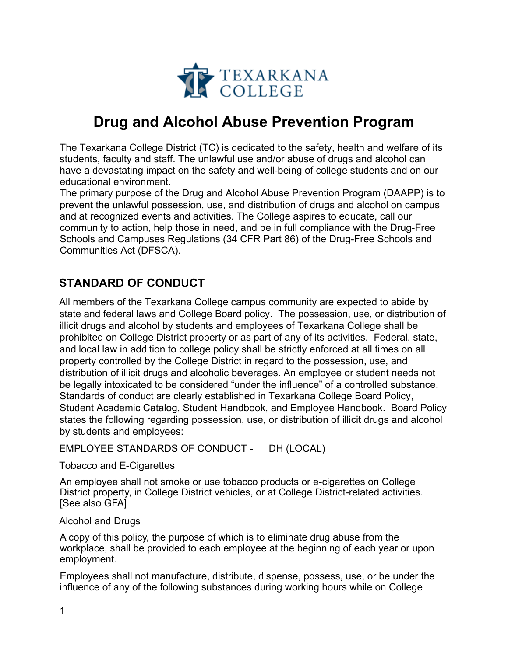

# **Drug and Alcohol Abuse Prevention Program**

The Texarkana College District (TC) is dedicated to the safety, health and welfare of its students, faculty and staff. The unlawful use and/or abuse of drugs and alcohol can have a devastating impact on the safety and well-being of college students and on our educational environment.

The primary purpose of the Drug and Alcohol Abuse Prevention Program (DAAPP) is to prevent the unlawful possession, use, and distribution of drugs and alcohol on campus and at recognized events and activities. The College aspires to educate, call our community to action, help those in need, and be in full compliance with the Drug-Free Schools and Campuses Regulations (34 CFR Part 86) of the Drug-Free Schools and Communities Act (DFSCA).

# **STANDARD OF CONDUCT**

All members of the Texarkana College campus community are expected to abide by state and federal laws and College Board policy. The possession, use, or distribution of illicit drugs and alcohol by students and employees of Texarkana College shall be prohibited on College District property or as part of any of its activities. Federal, state, and local law in addition to college policy shall be strictly enforced at all times on all property controlled by the College District in regard to the possession, use, and distribution of illicit drugs and alcoholic beverages. An employee or student needs not be legally intoxicated to be considered "under the influence" of a controlled substance. Standards of conduct are clearly established in Texarkana College Board Policy, Student Academic Catalog, Student Handbook, and Employee Handbook. Board Policy states the following regarding possession, use, or distribution of illicit drugs and alcohol by students and employees:

EMPLOYEE STANDARDS OF CONDUCT - DH (LOCAL)

Tobacco and E-Cigarettes

An employee shall not smoke or use tobacco products or e-cigarettes on College District property, in College District vehicles, or at College District-related activities. [See also GFA]

#### Alcohol and Drugs

A copy of this policy, the purpose of which is to eliminate drug abuse from the workplace, shall be provided to each employee at the beginning of each year or upon employment.

Employees shall not manufacture, distribute, dispense, possess, use, or be under the influence of any of the following substances during working hours while on College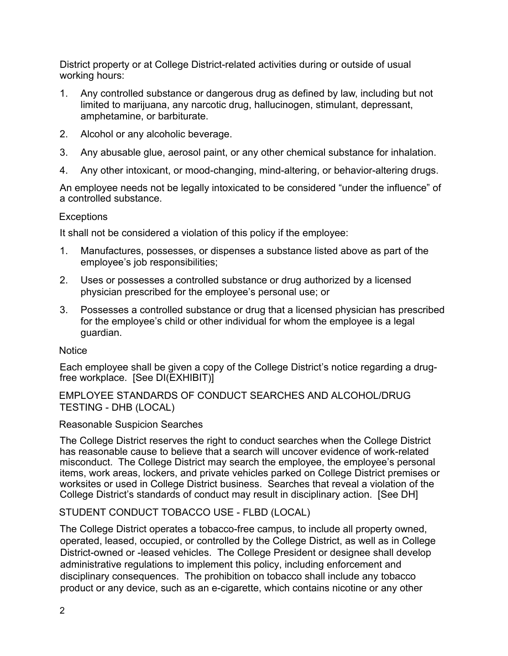District property or at College District-related activities during or outside of usual working hours:

- 1. Any controlled substance or dangerous drug as defined by law, including but not limited to marijuana, any narcotic drug, hallucinogen, stimulant, depressant, amphetamine, or barbiturate.
- 2. Alcohol or any alcoholic beverage.
- 3. Any abusable glue, aerosol paint, or any other chemical substance for inhalation.
- 4. Any other intoxicant, or mood-changing, mind-altering, or behavior-altering drugs.

An employee needs not be legally intoxicated to be considered "under the influence" of a controlled substance.

#### **Exceptions**

It shall not be considered a violation of this policy if the employee:

- 1. Manufactures, possesses, or dispenses a substance listed above as part of the employee's job responsibilities;
- 2. Uses or possesses a controlled substance or drug authorized by a licensed physician prescribed for the employee's personal use; or
- 3. Possesses a controlled substance or drug that a licensed physician has prescribed for the employee's child or other individual for whom the employee is a legal guardian.

#### **Notice**

Each employee shall be given a copy of the College District's notice regarding a drugfree workplace. [See DI(EXHIBIT)]

#### EMPLOYEE STANDARDS OF CONDUCT SEARCHES AND ALCOHOL/DRUG TESTING - DHB (LOCAL)

#### Reasonable Suspicion Searches

The College District reserves the right to conduct searches when the College District has reasonable cause to believe that a search will uncover evidence of work-related misconduct. The College District may search the employee, the employee's personal items, work areas, lockers, and private vehicles parked on College District premises or worksites or used in College District business. Searches that reveal a violation of the College District's standards of conduct may result in disciplinary action. [See DH]

#### STUDENT CONDUCT TOBACCO USE - FLBD (LOCAL)

The College District operates a tobacco-free campus, to include all property owned, operated, leased, occupied, or controlled by the College District, as well as in College District-owned or -leased vehicles. The College President or designee shall develop administrative regulations to implement this policy, including enforcement and disciplinary consequences. The prohibition on tobacco shall include any tobacco product or any device, such as an e-cigarette, which contains nicotine or any other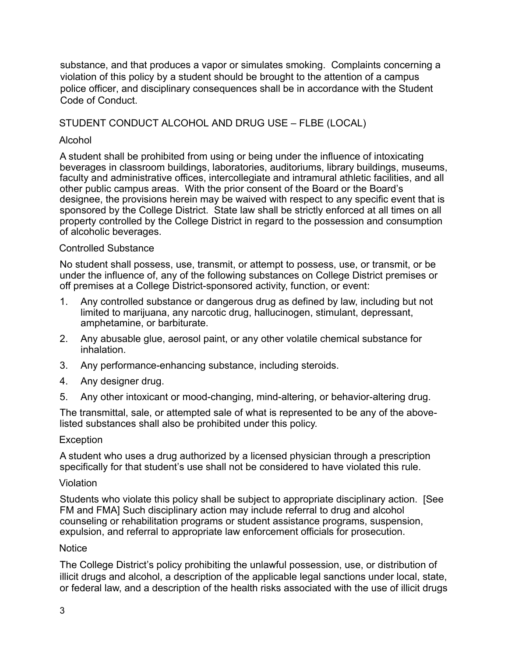substance, and that produces a vapor or simulates smoking. Complaints concerning a violation of this policy by a student should be brought to the attention of a campus police officer, and disciplinary consequences shall be in accordance with the Student Code of Conduct.

### STUDENT CONDUCT ALCOHOL AND DRUG USE – FLBE (LOCAL)

#### Alcohol

A student shall be prohibited from using or being under the influence of intoxicating beverages in classroom buildings, laboratories, auditoriums, library buildings, museums, faculty and administrative offices, intercollegiate and intramural athletic facilities, and all other public campus areas. With the prior consent of the Board or the Board's designee, the provisions herein may be waived with respect to any specific event that is sponsored by the College District. State law shall be strictly enforced at all times on all property controlled by the College District in regard to the possession and consumption of alcoholic beverages.

#### Controlled Substance

No student shall possess, use, transmit, or attempt to possess, use, or transmit, or be under the influence of, any of the following substances on College District premises or off premises at a College District-sponsored activity, function, or event:

- 1. Any controlled substance or dangerous drug as defined by law, including but not limited to marijuana, any narcotic drug, hallucinogen, stimulant, depressant, amphetamine, or barbiturate.
- 2. Any abusable glue, aerosol paint, or any other volatile chemical substance for inhalation.
- 3. Any performance-enhancing substance, including steroids.
- 4. Any designer drug.
- 5. Any other intoxicant or mood-changing, mind-altering, or behavior-altering drug.

The transmittal, sale, or attempted sale of what is represented to be any of the abovelisted substances shall also be prohibited under this policy.

#### **Exception**

A student who uses a drug authorized by a licensed physician through a prescription specifically for that student's use shall not be considered to have violated this rule.

#### Violation

Students who violate this policy shall be subject to appropriate disciplinary action. [See FM and FMA] Such disciplinary action may include referral to drug and alcohol counseling or rehabilitation programs or student assistance programs, suspension, expulsion, and referral to appropriate law enforcement officials for prosecution.

#### **Notice**

The College District's policy prohibiting the unlawful possession, use, or distribution of illicit drugs and alcohol, a description of the applicable legal sanctions under local, state, or federal law, and a description of the health risks associated with the use of illicit drugs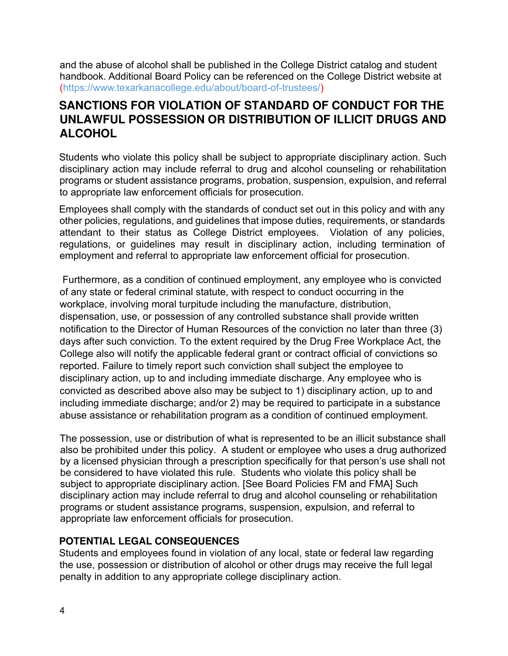and the abuse of alcohol shall be published in the College District catalog and student handbook. Additional Board Policy can be referenced on the College District website at [\(https://www.texarkanacollege.edu/about/board-of-trustees/\)](https://www.texarkanacollege.edu/about/board-of-trustees/)

# **SANCTIONS FOR VIOLATION OF STANDARD OF CONDUCT FOR THE UNLAWFUL POSSESSION OR DISTRIBUTION OF ILLICIT DRUGS AND ALCOHOL**

Students who violate this policy shall be subject to appropriate disciplinary action. Such disciplinary action may include referral to drug and alcohol counseling or rehabilitation programs or student assistance programs, probation, suspension, expulsion, and referral to appropriate law enforcement officials for prosecution.

Employees shall comply with the standards of conduct set out in this policy and with any other policies, regulations, and guidelines that impose duties, requirements, or standards attendant to their status as College District employees. Violation of any policies, regulations, or guidelines may result in disciplinary action, including termination of employment and referral to appropriate law enforcement official for prosecution.

 Furthermore, as a condition of continued employment, any employee who is convicted of any state or federal criminal statute, with respect to conduct occurring in the workplace, involving moral turpitude including the manufacture, distribution, dispensation, use, or possession of any controlled substance shall provide written notification to the Director of Human Resources of the conviction no later than three (3) days after such conviction. To the extent required by the Drug Free Workplace Act, the College also will notify the applicable federal grant or contract official of convictions so reported. Failure to timely report such conviction shall subject the employee to disciplinary action, up to and including immediate discharge. Any employee who is convicted as described above also may be subject to 1) disciplinary action, up to and including immediate discharge; and/or 2) may be required to participate in a substance abuse assistance or rehabilitation program as a condition of continued employment.

The possession, use or distribution of what is represented to be an illicit substance shall also be prohibited under this policy. A student or employee who uses a drug authorized by a licensed physician through a prescription specifically for that person's use shall not be considered to have violated this rule. Students who violate this policy shall be subject to appropriate disciplinary action. [See Board Policies FM and FMA] Such disciplinary action may include referral to drug and alcohol counseling or rehabilitation programs or student assistance programs, suspension, expulsion, and referral to appropriate law enforcement officials for prosecution.

### **POTENTIAL LEGAL CONSEQUENCES**

Students and employees found in violation of any local, state or federal law regarding the use, possession or distribution of alcohol or other drugs may receive the full legal penalty in addition to any appropriate college disciplinary action.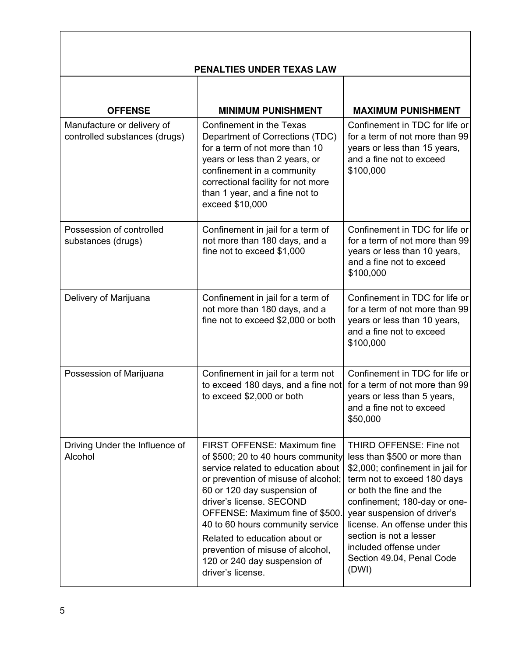|                                                             | PENALTIES UNDER TEXAS LAW                                                                                                                                                                                                                                                                                                                                                                                  |                                                                                                                                                                                                                                                                                                                                                    |  |  |  |
|-------------------------------------------------------------|------------------------------------------------------------------------------------------------------------------------------------------------------------------------------------------------------------------------------------------------------------------------------------------------------------------------------------------------------------------------------------------------------------|----------------------------------------------------------------------------------------------------------------------------------------------------------------------------------------------------------------------------------------------------------------------------------------------------------------------------------------------------|--|--|--|
| <b>OFFENSE</b>                                              | <b>MINIMUM PUNISHMENT</b>                                                                                                                                                                                                                                                                                                                                                                                  | <b>MAXIMUM PUNISHMENT</b>                                                                                                                                                                                                                                                                                                                          |  |  |  |
| Manufacture or delivery of<br>controlled substances (drugs) | Confinement in the Texas<br>Department of Corrections (TDC)<br>for a term of not more than 10<br>years or less than 2 years, or<br>confinement in a community<br>correctional facility for not more<br>than 1 year, and a fine not to<br>exceed \$10,000                                                                                                                                                   | Confinement in TDC for life or<br>for a term of not more than 99<br>years or less than 15 years,<br>and a fine not to exceed<br>\$100,000                                                                                                                                                                                                          |  |  |  |
| Possession of controlled<br>substances (drugs)              | Confinement in TDC for life or<br>Confinement in jail for a term of<br>not more than 180 days, and a<br>for a term of not more than 99<br>fine not to exceed \$1,000<br>years or less than 10 years,<br>and a fine not to exceed<br>\$100,000                                                                                                                                                              |                                                                                                                                                                                                                                                                                                                                                    |  |  |  |
| Delivery of Marijuana                                       | Confinement in jail for a term of<br>not more than 180 days, and a<br>fine not to exceed \$2,000 or both                                                                                                                                                                                                                                                                                                   | Confinement in TDC for life or<br>for a term of not more than 99<br>years or less than 10 years,<br>and a fine not to exceed<br>\$100,000                                                                                                                                                                                                          |  |  |  |
| Possession of Marijuana                                     | Confinement in jail for a term not<br>to exceed 180 days, and a fine not<br>to exceed \$2,000 or both                                                                                                                                                                                                                                                                                                      | Confinement in TDC for life or<br>for a term of not more than 99<br>years or less than 5 years,<br>and a fine not to exceed<br>\$50,000                                                                                                                                                                                                            |  |  |  |
| Driving Under the Influence of<br>Alcohol                   | FIRST OFFENSE: Maximum fine<br>of \$500; 20 to 40 hours community<br>service related to education about<br>or prevention of misuse of alcohol;<br>60 or 120 day suspension of<br>driver's license. SECOND<br>OFFENSE: Maximum fine of \$500.<br>40 to 60 hours community service<br>Related to education about or<br>prevention of misuse of alcohol,<br>120 or 240 day suspension of<br>driver's license. | THIRD OFFENSE: Fine not<br>less than \$500 or more than<br>\$2,000; confinement in jail for<br>term not to exceed 180 days<br>or both the fine and the<br>confinement; 180-day or one-<br>year suspension of driver's<br>license. An offense under this<br>section is not a lesser<br>included offense under<br>Section 49.04, Penal Code<br>(DWI) |  |  |  |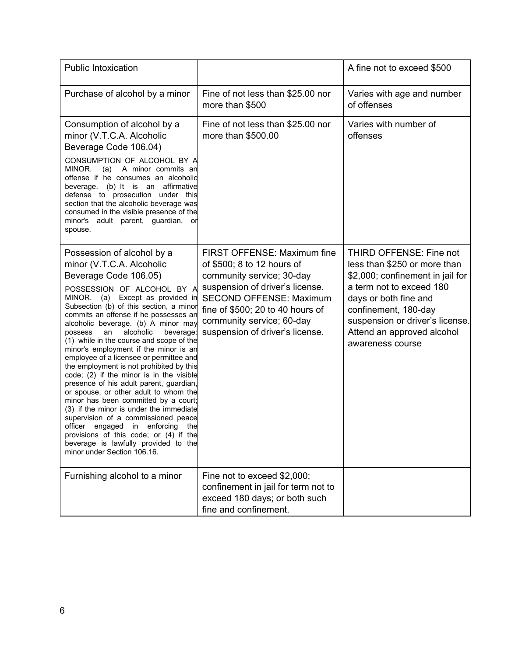| <b>Public Intoxication</b>                                                                                                                                                                                                                                                                                                                                                                                                                                                                                                                                                                                                                                                                                                                                                                                                                                                                                                   |                                                                                                                                                                                                                                                                 | A fine not to exceed \$500                                                                                                                                                                                                                                    |
|------------------------------------------------------------------------------------------------------------------------------------------------------------------------------------------------------------------------------------------------------------------------------------------------------------------------------------------------------------------------------------------------------------------------------------------------------------------------------------------------------------------------------------------------------------------------------------------------------------------------------------------------------------------------------------------------------------------------------------------------------------------------------------------------------------------------------------------------------------------------------------------------------------------------------|-----------------------------------------------------------------------------------------------------------------------------------------------------------------------------------------------------------------------------------------------------------------|---------------------------------------------------------------------------------------------------------------------------------------------------------------------------------------------------------------------------------------------------------------|
| Purchase of alcohol by a minor                                                                                                                                                                                                                                                                                                                                                                                                                                                                                                                                                                                                                                                                                                                                                                                                                                                                                               | Fine of not less than \$25.00 nor<br>more than \$500                                                                                                                                                                                                            | Varies with age and number<br>of offenses                                                                                                                                                                                                                     |
| Consumption of alcohol by a<br>minor (V.T.C.A. Alcoholic<br>Beverage Code 106.04)<br>CONSUMPTION OF ALCOHOL BY A<br>MINOR.<br>A minor commits an<br>(a)<br>offense if he consumes an alcoholic<br>beverage. (b) It is an affirmative<br>defense to prosecution under this<br>section that the alcoholic beverage was<br>consumed in the visible presence of the<br>minor's adult parent, guardian, or<br>spouse.                                                                                                                                                                                                                                                                                                                                                                                                                                                                                                             | Fine of not less than \$25.00 nor<br>more than \$500.00                                                                                                                                                                                                         | Varies with number of<br>offenses                                                                                                                                                                                                                             |
| Possession of alcohol by a<br>minor (V.T.C.A. Alcoholic<br>Beverage Code 106.05)<br>POSSESSION OF ALCOHOL BY A<br>MINOR. (a) Except as provided in<br>Subsection (b) of this section, a minor<br>commits an offense if he possesses an<br>alcoholic beverage. (b) A minor may<br>alcoholic<br>an<br>beverage:<br>possess<br>(1) while in the course and scope of the<br>minor's employment if the minor is an<br>employee of a licensee or permittee and<br>the employment is not prohibited by this<br>code; (2) if the minor is in the visible<br>presence of his adult parent, guardian,<br>or spouse, or other adult to whom the<br>minor has been committed by a court;<br>(3) if the minor is under the immediate<br>supervision of a commissioned peace<br>enforcing<br>officer<br>engaged in<br>the<br>provisions of this code; or (4) if the<br>beverage is lawfully provided to the<br>minor under Section 106.16. | FIRST OFFENSE: Maximum fine<br>of \$500; 8 to 12 hours of<br>community service; 30-day<br>suspension of driver's license.<br><b>SECOND OFFENSE: Maximum</b><br>fine of \$500; 20 to 40 hours of<br>community service; 60-day<br>suspension of driver's license. | THIRD OFFENSE: Fine not<br>less than \$250 or more than<br>\$2,000; confinement in jail for<br>a term not to exceed 180<br>days or both fine and<br>confinement, 180-day<br>suspension or driver's license.<br>Attend an approved alcohol<br>awareness course |
| Furnishing alcohol to a minor                                                                                                                                                                                                                                                                                                                                                                                                                                                                                                                                                                                                                                                                                                                                                                                                                                                                                                | Fine not to exceed \$2,000;<br>confinement in jail for term not to<br>exceed 180 days; or both such<br>fine and confinement.                                                                                                                                    |                                                                                                                                                                                                                                                               |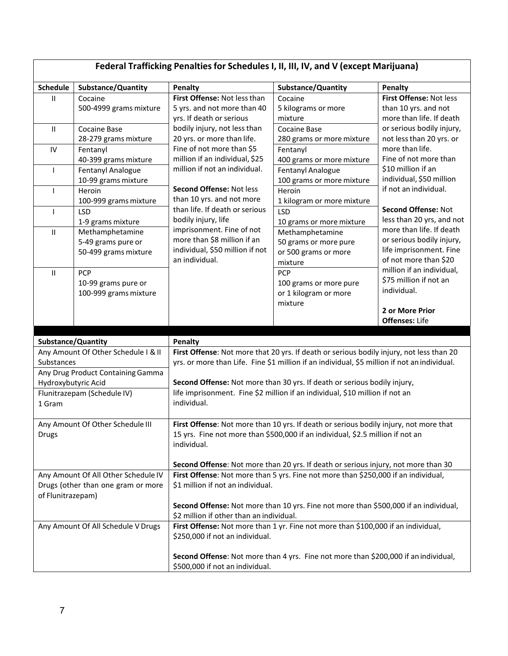| Federal Trafficking Penalties for Schedules I, II, III, IV, and V (except Marijuana) |                                                                                                                                                                                                                           |                                                                                                                                                                                          |                                                                                      |                                                                                                           |
|--------------------------------------------------------------------------------------|---------------------------------------------------------------------------------------------------------------------------------------------------------------------------------------------------------------------------|------------------------------------------------------------------------------------------------------------------------------------------------------------------------------------------|--------------------------------------------------------------------------------------|-----------------------------------------------------------------------------------------------------------|
| <b>Schedule</b>                                                                      | Substance/Quantity                                                                                                                                                                                                        | Penalty                                                                                                                                                                                  | Substance/Quantity                                                                   | Penalty                                                                                                   |
| $\mathbf{II}$                                                                        | Cocaine<br>500-4999 grams mixture                                                                                                                                                                                         | First Offense: Not less than<br>5 yrs. and not more than 40<br>yrs. If death or serious                                                                                                  | Cocaine<br>5 kilograms or more<br>mixture                                            | First Offense: Not less<br>than 10 yrs. and not<br>more than life. If death                               |
| Ш                                                                                    | <b>Cocaine Base</b><br>28-279 grams mixture                                                                                                                                                                               | bodily injury, not less than<br>20 yrs. or more than life.                                                                                                                               | <b>Cocaine Base</b><br>280 grams or more mixture                                     | or serious bodily injury,<br>not less than 20 yrs. or                                                     |
| $\mathsf{IV}$                                                                        | Fentanyl<br>40-399 grams mixture                                                                                                                                                                                          | Fine of not more than \$5<br>million if an individual, \$25                                                                                                                              | Fentanyl<br>400 grams or more mixture                                                | more than life.<br>Fine of not more than                                                                  |
| $\mathbf{I}$                                                                         | Fentanyl Analogue<br>10-99 grams mixture                                                                                                                                                                                  | million if not an individual.                                                                                                                                                            | Fentanyl Analogue<br>100 grams or more mixture                                       | \$10 million if an<br>individual, \$50 million                                                            |
| $\overline{1}$                                                                       | Heroin<br>100-999 grams mixture                                                                                                                                                                                           | Second Offense: Not less<br>than 10 yrs. and not more                                                                                                                                    | Heroin<br>1 kilogram or more mixture                                                 | if not an individual.                                                                                     |
| I                                                                                    | <b>LSD</b><br>1-9 grams mixture                                                                                                                                                                                           | than life. If death or serious<br>bodily injury, life                                                                                                                                    | <b>LSD</b><br>10 grams or more mixture                                               | Second Offense: Not<br>less than 20 yrs, and not                                                          |
| $\ensuremath{\mathsf{II}}$                                                           | Methamphetamine<br>5-49 grams pure or<br>50-499 grams mixture                                                                                                                                                             | imprisonment. Fine of not<br>more than \$8 million if an<br>individual, \$50 million if not<br>an individual.                                                                            | Methamphetamine<br>50 grams or more pure<br>or 500 grams or more<br>mixture          | more than life. If death<br>or serious bodily injury,<br>life imprisonment. Fine<br>of not more than \$20 |
| $\ensuremath{\mathsf{II}}$                                                           | PCP<br>10-99 grams pure or<br>100-999 grams mixture                                                                                                                                                                       |                                                                                                                                                                                          | <b>PCP</b><br>100 grams or more pure<br>or 1 kilogram or more<br>mixture             | million if an individual,<br>\$75 million if not an<br>individual.                                        |
|                                                                                      |                                                                                                                                                                                                                           |                                                                                                                                                                                          |                                                                                      | 2 or More Prior<br><b>Offenses: Life</b>                                                                  |
| Substance/Quantity                                                                   |                                                                                                                                                                                                                           | Penalty                                                                                                                                                                                  |                                                                                      |                                                                                                           |
| Substances                                                                           | Any Amount Of Other Schedule I & II                                                                                                                                                                                       | First Offense: Not more that 20 yrs. If death or serious bodily injury, not less than 20<br>yrs. or more than Life. Fine \$1 million if an individual, \$5 million if not an individual. |                                                                                      |                                                                                                           |
| Hydroxybutyric Acid                                                                  | Any Drug Product Containing Gamma                                                                                                                                                                                         |                                                                                                                                                                                          | Second Offense: Not more than 30 yrs. If death or serious bodily injury,             |                                                                                                           |
| 1 Gram                                                                               | Flunitrazepam (Schedule IV)                                                                                                                                                                                               | individual.                                                                                                                                                                              | life imprisonment. Fine \$2 million if an individual, \$10 million if not an         |                                                                                                           |
| Drugs                                                                                | Any Amount Of Other Schedule III                                                                                                                                                                                          | First Offense: Not more than 10 yrs. If death or serious bodily injury, not more that<br>15 yrs. Fine not more than \$500,000 if an individual, \$2.5 million if not an<br>individual.   |                                                                                      |                                                                                                           |
|                                                                                      |                                                                                                                                                                                                                           |                                                                                                                                                                                          | Second Offense: Not more than 20 yrs. If death or serious injury, not more than 30   |                                                                                                           |
|                                                                                      | First Offense: Not more than 5 yrs. Fine not more than \$250,000 if an individual,<br>Any Amount Of All Other Schedule IV<br>Drugs (other than one gram or more<br>\$1 million if not an individual.<br>of Flunitrazepam) |                                                                                                                                                                                          |                                                                                      |                                                                                                           |
|                                                                                      |                                                                                                                                                                                                                           | \$2 million if other than an individual.                                                                                                                                                 | Second Offense: Not more than 10 yrs. Fine not more than \$500,000 if an individual, |                                                                                                           |
|                                                                                      | Any Amount Of All Schedule V Drugs                                                                                                                                                                                        | \$250,000 if not an individual.                                                                                                                                                          | First Offense: Not more than 1 yr. Fine not more than \$100,000 if an individual,    |                                                                                                           |
|                                                                                      |                                                                                                                                                                                                                           | \$500,000 if not an individual.                                                                                                                                                          | Second Offense: Not more than 4 yrs. Fine not more than \$200,000 if an individual,  |                                                                                                           |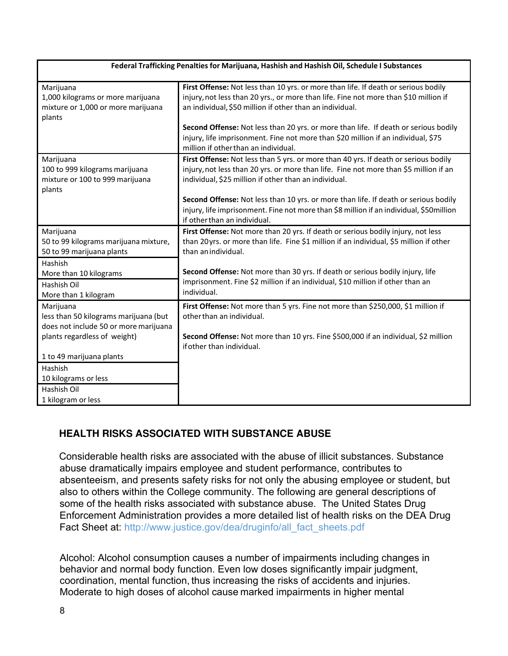| Federal Trafficking Penalties for Marijuana, Hashish and Hashish Oil, Schedule I Substances    |                                                                                                                                                                                                                                        |  |  |
|------------------------------------------------------------------------------------------------|----------------------------------------------------------------------------------------------------------------------------------------------------------------------------------------------------------------------------------------|--|--|
| Marijuana<br>1,000 kilograms or more marijuana<br>mixture or 1,000 or more marijuana<br>plants | First Offense: Not less than 10 yrs. or more than life. If death or serious bodily<br>injury, not less than 20 yrs., or more than life. Fine not more than \$10 million if<br>an individual, \$50 million if other than an individual. |  |  |
|                                                                                                | Second Offense: Not less than 20 yrs. or more than life. If death or serious bodily<br>injury, life imprisonment. Fine not more than \$20 million if an individual, \$75<br>million if other than an individual.                       |  |  |
| Marijuana<br>100 to 999 kilograms marijuana<br>mixture or 100 to 999 marijuana<br>plants       | First Offense: Not less than 5 yrs. or more than 40 yrs. If death or serious bodily<br>injury, not less than 20 yrs. or more than life. Fine not more than \$5 million if an<br>individual, \$25 million if other than an individual.  |  |  |
|                                                                                                | Second Offense: Not less than 10 yrs. or more than life. If death or serious bodily<br>injury, life imprisonment. Fine not more than \$8 million if an individual, \$50 million<br>if other than an individual.                        |  |  |
| Marijuana<br>50 to 99 kilograms marijuana mixture,<br>50 to 99 marijuana plants                | First Offense: Not more than 20 yrs. If death or serious bodily injury, not less<br>than 20 yrs. or more than life. Fine \$1 million if an individual, \$5 million if other<br>than an individual.                                     |  |  |
| Hashish<br>More than 10 kilograms<br>Hashish Oil<br>More than 1 kilogram                       | Second Offense: Not more than 30 yrs. If death or serious bodily injury, life<br>imprisonment. Fine \$2 million if an individual, \$10 million if other than an<br>individual.                                                         |  |  |
| Marijuana<br>less than 50 kilograms marijuana (but<br>does not include 50 or more marijuana    | First Offense: Not more than 5 yrs. Fine not more than \$250,000, \$1 million if<br>other than an individual.                                                                                                                          |  |  |
| plants regardless of weight)                                                                   | Second Offense: Not more than 10 yrs. Fine \$500,000 if an individual, \$2 million<br>if other than individual.                                                                                                                        |  |  |
| 1 to 49 marijuana plants<br>Hashish<br>10 kilograms or less                                    |                                                                                                                                                                                                                                        |  |  |
| Hashish Oil<br>1 kilogram or less                                                              |                                                                                                                                                                                                                                        |  |  |

### **HEALTH RISKS ASSOCIATED WITH SUBSTANCE ABUSE**

Considerable health risks are associated with the abuse of illicit substances. Substance abuse dramatically impairs employee and student performance, contributes to absenteeism, and presents safety risks for not only the abusing employee or student, but also to others within the College community. The following are general descriptions of some of the health risks associated with substance abuse. The United States Drug Enforcement Administration provides a more detailed list of health risks on the DEA Drug Fact Sheet at: [http://www.justice.gov/dea/druginfo/all\\_fact\\_sheets.pdf](http://www.justice.gov/dea/druginfo/all_fact_sheets.pdf)

Alcohol: Alcohol consumption causes a number of impairments including changes in behavior and normal body function. Even low doses significantly impair judgment, coordination, mental function, thus increasing the risks of accidents and injuries. Moderate to high doses of alcohol cause marked impairments in higher mental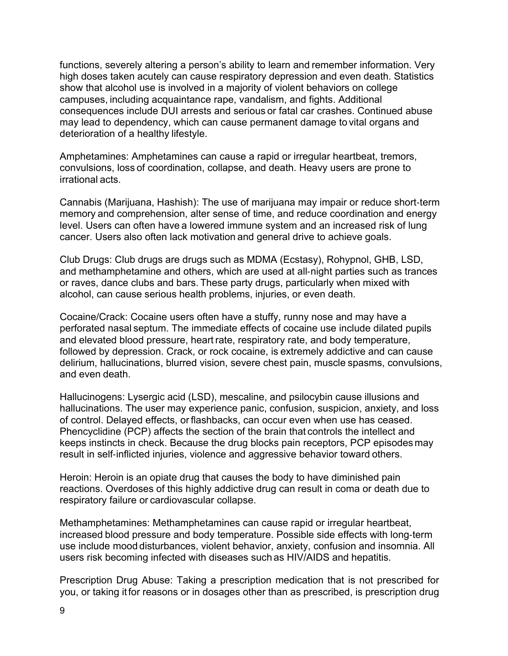functions, severely altering a person's ability to learn and remember information. Very high doses taken acutely can cause respiratory depression and even death. Statistics show that alcohol use is involved in a majority of violent behaviors on college campuses, including acquaintance rape, vandalism, and fights. Additional consequences include DUI arrests and serious or fatal car crashes. Continued abuse may lead to dependency, which can cause permanent damage to vital organs and deterioration of a healthy lifestyle.

Amphetamines: Amphetamines can cause a rapid or irregular heartbeat, tremors, convulsions, loss of coordination, collapse, and death. Heavy users are prone to irrational acts.

Cannabis (Marijuana, Hashish): The use of marijuana may impair or reduce short‐term memory and comprehension, alter sense of time, and reduce coordination and energy level. Users can often have a lowered immune system and an increased risk of lung cancer. Users also often lack motivation and general drive to achieve goals.

Club Drugs: Club drugs are drugs such as MDMA (Ecstasy), Rohypnol, GHB, LSD, and methamphetamine and others, which are used at all‐night parties such as trances or raves, dance clubs and bars. These party drugs, particularly when mixed with alcohol, can cause serious health problems, injuries, or even death.

Cocaine/Crack: Cocaine users often have a stuffy, runny nose and may have a perforated nasal septum. The immediate effects of cocaine use include dilated pupils and elevated blood pressure, heart rate, respiratory rate, and body temperature, followed by depression. Crack, or rock cocaine, is extremely addictive and can cause delirium, hallucinations, blurred vision, severe chest pain, muscle spasms, convulsions, and even death.

Hallucinogens: Lysergic acid (LSD), mescaline, and psilocybin cause illusions and hallucinations. The user may experience panic, confusion, suspicion, anxiety, and loss of control. Delayed effects, or flashbacks, can occur even when use has ceased. Phencyclidine (PCP) affects the section of the brain that controls the intellect and keeps instincts in check. Because the drug blocks pain receptors, PCP episodes may result in self‐inflicted injuries, violence and aggressive behavior toward others.

Heroin: Heroin is an opiate drug that causes the body to have diminished pain reactions. Overdoses of this highly addictive drug can result in coma or death due to respiratory failure or cardiovascular collapse.

Methamphetamines: Methamphetamines can cause rapid or irregular heartbeat, increased blood pressure and body temperature. Possible side effects with long‐term use include mood disturbances, violent behavior, anxiety, confusion and insomnia. All users risk becoming infected with diseases such as HIV/AIDS and hepatitis.

Prescription Drug Abuse: Taking a prescription medication that is not prescribed for you, or taking it for reasons or in dosages other than as prescribed, is prescription drug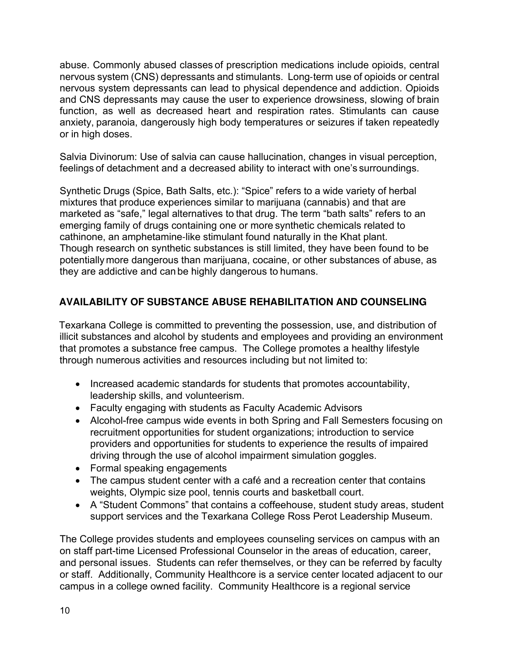abuse. Commonly abused classes of prescription medications include opioids, central nervous system (CNS) depressants and stimulants. Long‐term use of opioids or central nervous system depressants can lead to physical dependence and addiction. Opioids and CNS depressants may cause the user to experience drowsiness, slowing of brain function, as well as decreased heart and respiration rates. Stimulants can cause anxiety, paranoia, dangerously high body temperatures or seizures if taken repeatedly or in high doses.

Salvia Divinorum: Use of salvia can cause hallucination, changes in visual perception, feelings of detachment and a decreased ability to interact with one's surroundings.

Synthetic Drugs (Spice, Bath Salts, etc.): "Spice" refers to a wide variety of herbal mixtures that produce experiences similar to marijuana (cannabis) and that are marketed as "safe," legal alternatives to that drug. The term "bath salts" refers to an emerging family of drugs containing one or more synthetic chemicals related to cathinone, an amphetamine‐like stimulant found naturally in the Khat plant. Though research on synthetic substances is still limited, they have been found to be potentially more dangerous than marijuana, cocaine, or other substances of abuse, as they are addictive and can be highly dangerous to humans.

## **AVAILABILITY OF SUBSTANCE ABUSE REHABILITATION AND COUNSELING**

Texarkana College is committed to preventing the possession, use, and distribution of illicit substances and alcohol by students and employees and providing an environment that promotes a substance free campus. The College promotes a healthy lifestyle through numerous activities and resources including but not limited to:

- Increased academic standards for students that promotes accountability, leadership skills, and volunteerism.
- Faculty engaging with students as Faculty Academic Advisors
- Alcohol-free campus wide events in both Spring and Fall Semesters focusing on recruitment opportunities for student organizations; introduction to service providers and opportunities for students to experience the results of impaired driving through the use of alcohol impairment simulation goggles.
- Formal speaking engagements
- The campus student center with a café and a recreation center that contains weights, Olympic size pool, tennis courts and basketball court.
- A "Student Commons" that contains a coffeehouse, student study areas, student support services and the Texarkana College Ross Perot Leadership Museum.

The College provides students and employees counseling services on campus with an on staff part-time Licensed Professional Counselor in the areas of education, career, and personal issues. Students can refer themselves, or they can be referred by faculty or staff. Additionally, Community Healthcore is a service center located adjacent to our campus in a college owned facility. Community Healthcore is a regional service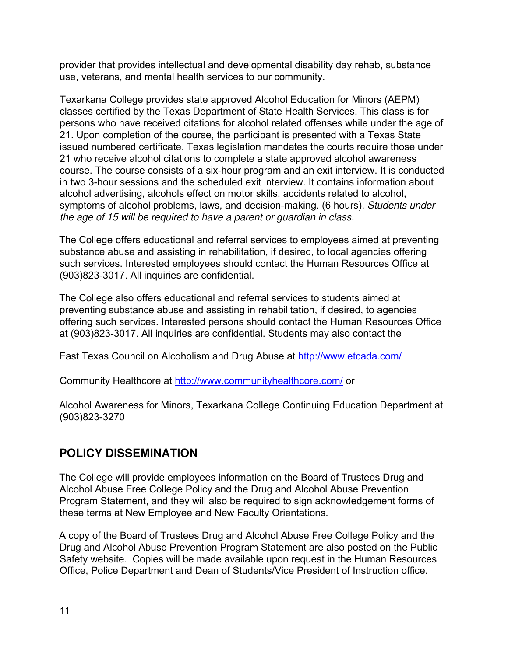provider that provides intellectual and developmental disability day rehab, substance use, veterans, and mental health services to our community.

Texarkana College provides state approved Alcohol Education for Minors (AEPM) classes certified by the Texas Department of State Health Services. This class is for persons who have received citations for alcohol related offenses while under the age of 21. Upon completion of the course, the participant is presented with a Texas State issued numbered certificate. Texas legislation mandates the courts require those under 21 who receive alcohol citations to complete a state approved alcohol awareness course. The course consists of a six-hour program and an exit interview. It is conducted in two 3-hour sessions and the scheduled exit interview. It contains information about alcohol advertising, alcohols effect on motor skills, accidents related to alcohol, symptoms of alcohol problems, laws, and decision-making. (6 hours). Students under the age of 15 will be required to have a parent or guardian in class.

The College offers educational and referral services to employees aimed at preventing substance abuse and assisting in rehabilitation, if desired, to local agencies offering such services. Interested employees should contact the Human Resources Office at (903)823-3017. All inquiries are confidential.

The College also offers educational and referral services to students aimed at preventing substance abuse and assisting in rehabilitation, if desired, to agencies offering such services. Interested persons should contact the Human Resources Office at (903)823-3017. All inquiries are confidential. Students may also contact the

East Texas Council on Alcoholism and Drug Abuse at<http://www.etcada.com/>

Community Healthcore at<http://www.communityhealthcore.com/> or

Alcohol Awareness for Minors, Texarkana College Continuing Education Department at (903)823-3270

# **POLICY DISSEMINATION**

The College will provide employees information on the Board of Trustees Drug and Alcohol Abuse Free College Policy and the Drug and Alcohol Abuse Prevention Program Statement, and they will also be required to sign acknowledgement forms of these terms at New Employee and New Faculty Orientations.

A copy of the Board of Trustees Drug and Alcohol Abuse Free College Policy and the Drug and Alcohol Abuse Prevention Program Statement are also posted on the Public Safety website. Copies will be made available upon request in the Human Resources Office, Police Department and Dean of Students/Vice President of Instruction office.